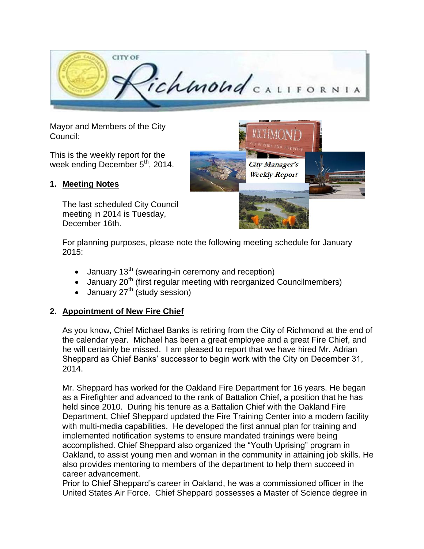

**City Manager's Weekly Report** 

Mayor and Members of the City Council:

This is the weekly report for the week ending December  $5<sup>th</sup>$ , 2014.

#### **1. Meeting Notes**

The last scheduled City Council meeting in 2014 is Tuesday, December 16th.

For planning purposes, please note the following meeting schedule for January 2015:

- $\bullet$  January 13<sup>th</sup> (swearing-in ceremony and reception)
- $\bullet$  January 20<sup>th</sup> (first regular meeting with reorganized Councilmembers)
- $\bullet$  January 27<sup>th</sup> (study session)

## **2. Appointment of New Fire Chief**

As you know, Chief Michael Banks is retiring from the City of Richmond at the end of the calendar year. Michael has been a great employee and a great Fire Chief, and he will certainly be missed. I am pleased to report that we have hired Mr. Adrian Sheppard as Chief Banks' successor to begin work with the City on December 31, 2014.

Mr. Sheppard has worked for the Oakland Fire Department for 16 years. He began as a Firefighter and advanced to the rank of Battalion Chief, a position that he has held since 2010. During his tenure as a Battalion Chief with the Oakland Fire Department, Chief Sheppard updated the Fire Training Center into a modern facility with multi-media capabilities. He developed the first annual plan for training and implemented notification systems to ensure mandated trainings were being accomplished. Chief Sheppard also organized the "Youth Uprising" program in Oakland, to assist young men and woman in the community in attaining job skills. He also provides mentoring to members of the department to help them succeed in career advancement.

Prior to Chief Sheppard's career in Oakland, he was a commissioned officer in the United States Air Force. Chief Sheppard possesses a Master of Science degree in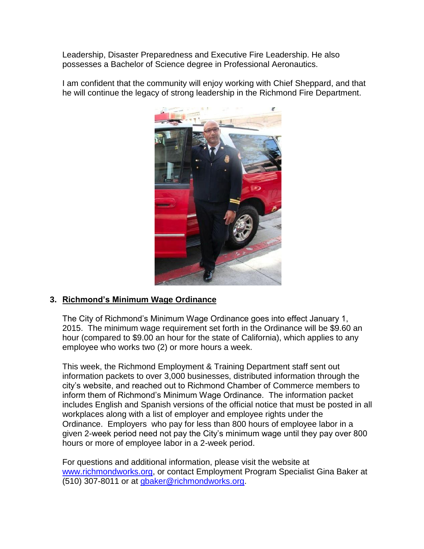Leadership, Disaster Preparedness and Executive Fire Leadership. He also possesses a Bachelor of Science degree in Professional Aeronautics.

I am confident that the community will enjoy working with Chief Sheppard, and that he will continue the legacy of strong leadership in the Richmond Fire Department.



## **3. Richmond's Minimum Wage Ordinance**

The City of Richmond's Minimum Wage Ordinance goes into effect January 1, 2015. The minimum wage requirement set forth in the Ordinance will be \$9.60 an hour (compared to \$9.00 an hour for the state of California), which applies to any employee who works two (2) or more hours a week.

This week, the Richmond Employment & Training Department staff sent out information packets to over 3,000 businesses, distributed information through the city's website, and reached out to Richmond Chamber of Commerce members to inform them of Richmond's Minimum Wage Ordinance. The information packet includes English and Spanish versions of the official notice that must be posted in all workplaces along with a list of employer and employee rights under the Ordinance. Employers who pay for less than 800 hours of employee labor in a given 2-week period need not pay the City's minimum wage until they pay over 800 hours or more of employee labor in a 2-week period.

For questions and additional information, please visit the website at [www.richmondworks.org,](http://www.richmondworks.org/) or contact Employment Program Specialist Gina Baker at (510) 307-8011 or at [gbaker@richmondworks.org.](mailto:gbaker@richmondworks.org)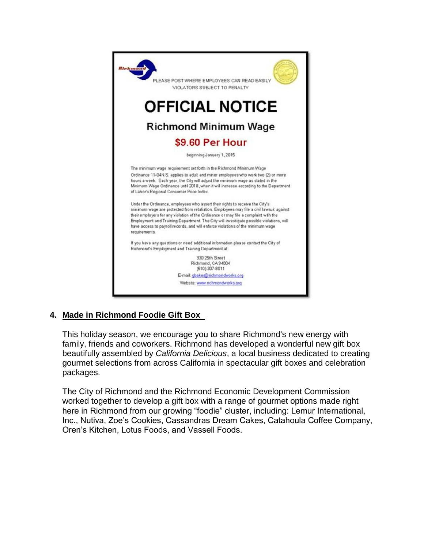

## **4. Made in Richmond Foodie Gift Box**

This holiday season, we encourage you to share Richmond's new energy with family, friends and coworkers. Richmond has developed a wonderful new gift box beautifully assembled by *California Delicious*, a local business dedicated to creating gourmet selections from across California in spectacular gift boxes and celebration packages.

The City of Richmond and the Richmond Economic Development Commission worked together to develop a gift box with a range of gourmet options made right here in Richmond from our growing "foodie" cluster, including: Lemur International, Inc., Nutiva, Zoe's Cookies, Cassandras Dream Cakes, Catahoula Coffee Company, Oren's Kitchen, Lotus Foods, and Vassell Foods.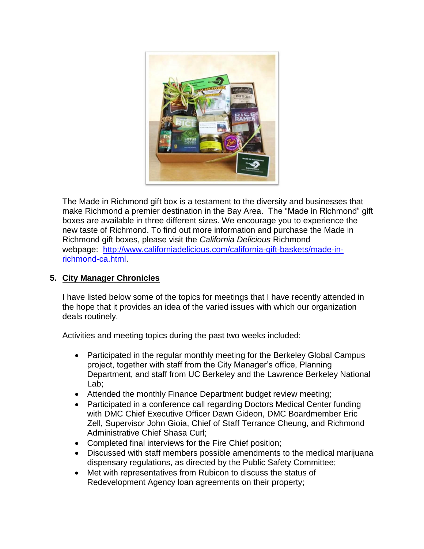

The Made in Richmond gift box is a testament to the diversity and businesses that make Richmond a premier destination in the Bay Area. The "Made in Richmond" gift boxes are available in three different sizes. We encourage you to experience the new taste of Richmond. To find out more information and purchase the Made in Richmond gift boxes, please visit the *California Delicious* Richmond webpage: [http://www.californiadelicious.com/california-gift-baskets/made-in](http://www.californiadelicious.com/california-gift-baskets/made-in-richmond-ca.html)[richmond-ca.html.](http://www.californiadelicious.com/california-gift-baskets/made-in-richmond-ca.html)

## **5. City Manager Chronicles**

I have listed below some of the topics for meetings that I have recently attended in the hope that it provides an idea of the varied issues with which our organization deals routinely.

Activities and meeting topics during the past two weeks included:

- Participated in the regular monthly meeting for the Berkeley Global Campus project, together with staff from the City Manager's office, Planning Department, and staff from UC Berkeley and the Lawrence Berkeley National Lab;
- Attended the monthly Finance Department budget review meeting;
- Participated in a conference call regarding Doctors Medical Center funding with DMC Chief Executive Officer Dawn Gideon, DMC Boardmember Eric Zell, Supervisor John Gioia, Chief of Staff Terrance Cheung, and Richmond Administrative Chief Shasa Curl;
- Completed final interviews for the Fire Chief position;
- Discussed with staff members possible amendments to the medical marijuana dispensary regulations, as directed by the Public Safety Committee;
- Met with representatives from Rubicon to discuss the status of Redevelopment Agency loan agreements on their property;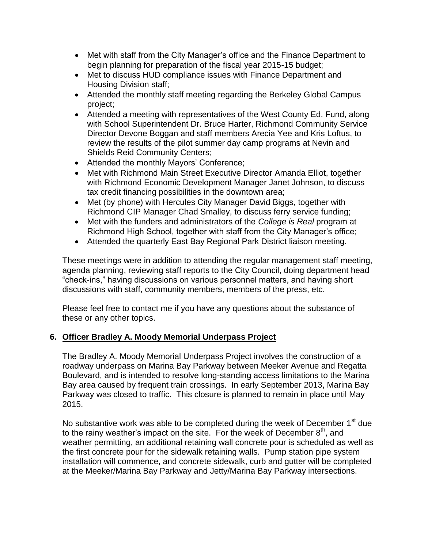- Met with staff from the City Manager's office and the Finance Department to begin planning for preparation of the fiscal year 2015-15 budget;
- Met to discuss HUD compliance issues with Finance Department and Housing Division staff;
- Attended the monthly staff meeting regarding the Berkeley Global Campus project;
- Attended a meeting with representatives of the West County Ed. Fund, along with School Superintendent Dr. Bruce Harter, Richmond Community Service Director Devone Boggan and staff members Arecia Yee and Kris Loftus, to review the results of the pilot summer day camp programs at Nevin and Shields Reid Community Centers;
- Attended the monthly Mayors' Conference;
- Met with Richmond Main Street Executive Director Amanda Elliot, together with Richmond Economic Development Manager Janet Johnson, to discuss tax credit financing possibilities in the downtown area;
- Met (by phone) with Hercules City Manager David Biggs, together with Richmond CIP Manager Chad Smalley, to discuss ferry service funding;
- Met with the funders and administrators of the *College is Real* program at Richmond High School, together with staff from the City Manager's office;
- Attended the quarterly East Bay Regional Park District liaison meeting.

These meetings were in addition to attending the regular management staff meeting, agenda planning, reviewing staff reports to the City Council, doing department head "check-ins," having discussions on various personnel matters, and having short discussions with staff, community members, members of the press, etc.

Please feel free to contact me if you have any questions about the substance of these or any other topics.

## **6. Officer Bradley A. Moody Memorial Underpass Project**

The Bradley A. Moody Memorial Underpass Project involves the construction of a roadway underpass on Marina Bay Parkway between Meeker Avenue and Regatta Boulevard, and is intended to resolve long-standing access limitations to the Marina Bay area caused by frequent train crossings. In early September 2013, Marina Bay Parkway was closed to traffic. This closure is planned to remain in place until May 2015.

No substantive work was able to be completed during the week of December  $1<sup>st</sup>$  due to the rainy weather's impact on the site. For the week of December  $8<sup>th</sup>$ , and weather permitting, an additional retaining wall concrete pour is scheduled as well as the first concrete pour for the sidewalk retaining walls. Pump station pipe system installation will commence, and concrete sidewalk, curb and gutter will be completed at the Meeker/Marina Bay Parkway and Jetty/Marina Bay Parkway intersections.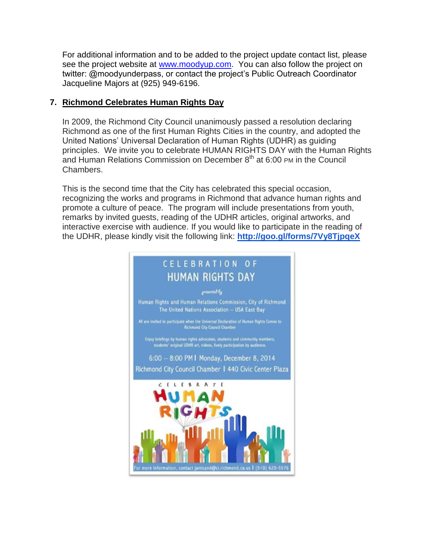For additional information and to be added to the project update contact list, please see the project website at [www.moodyup.com.](http://www.moodyup.com/) You can also follow the project on twitter: @moodyunderpass, or contact the project's Public Outreach Coordinator Jacqueline Majors at (925) 949-6196.

## **7. Richmond Celebrates Human Rights Day**

In 2009, the Richmond City Council unanimously passed a resolution declaring Richmond as one of the first Human Rights Cities in the country, and adopted the United Nations' Universal Declaration of Human Rights (UDHR) as guiding principles. We invite you to celebrate HUMAN RIGHTS DAY with the Human Rights and Human Relations Commission on December  $8<sup>th</sup>$  at 6:00 PM in the Council Chambers.

This is the second time that the City has celebrated this special occasion, recognizing the works and programs in Richmond that advance human rights and promote a culture of peace. The program will include presentations from youth, remarks by invited guests, reading of the UDHR articles, original artworks, and interactive exercise with audience. If you would like to participate in the reading of the UDHR, please kindly visit the following link: **<http://goo.gl/forms/7Vy8TjpqeX>**

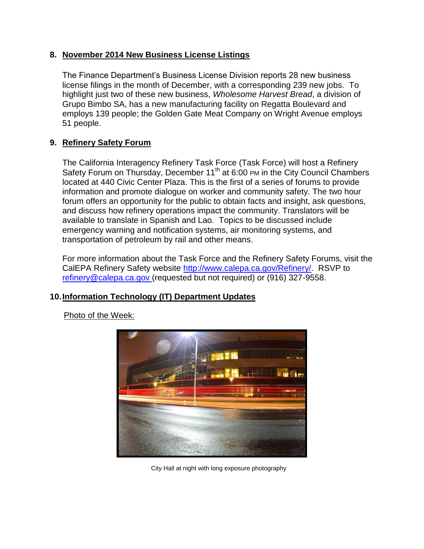#### **8. November 2014 New Business License Listings**

The Finance Department's Business License Division reports 28 new business license filings in the month of December, with a corresponding 239 new jobs. To highlight just two of these new business, *Wholesome Harvest Bread*, a division of Grupo Bimbo SA, has a new manufacturing facility on Regatta Boulevard and employs 139 people; the Golden Gate Meat Company on Wright Avenue employs 51 people.

# **9. Refinery Safety Forum**

The California Interagency Refinery Task Force (Task Force) will host a Refinery Safety Forum on Thursday, December 11<sup>th</sup> at 6:00 PM in the City Council Chambers located at 440 Civic Center Plaza. This is the first of a series of forums to provide information and promote dialogue on worker and community safety. The two hour forum offers an opportunity for the public to obtain facts and insight, ask questions, and discuss how refinery operations impact the community. Translators will be available to translate in Spanish and Lao. Topics to be discussed include emergency warning and notification systems, air monitoring systems, and transportation of petroleum by rail and other means.

For more information about the Task Force and the Refinery Safety Forums, visit the CalEPA Refinery Safety website [http://www.calepa.ca.gov/Refinery/.](http://www.calepa.ca.gov/Refinery/) RSVP to [refinery@calepa.ca.gov](mailto:refinery@calepa.ca.gov) (requested but not required) or (916) 327-9558.

## **10.Information Technology (IT) Department Updates**



Photo of the Week:

City Hall at night with long exposure photography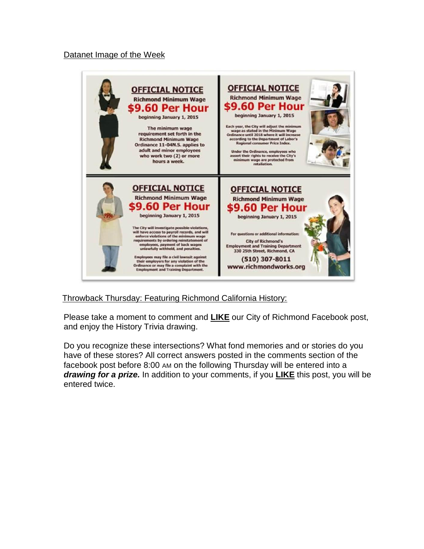#### Datanet Image of the Week



Throwback Thursday: Featuring Richmond California History:

Please take a moment to comment and **LIKE** our City of Richmond Facebook post, and enjoy the History Trivia drawing.

Do you recognize these intersections? What fond memories and or stories do you have of these stores? All correct answers posted in the comments section of the facebook post before 8:00 AM on the following Thursday will be entered into a *drawing for a prize.* In addition to your comments, if you **LIKE** this post, you will be entered twice.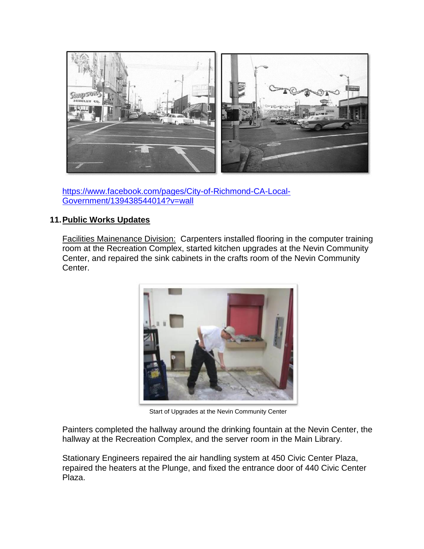

[https://www.facebook.com/pages/City-of-Richmond-CA-Local-](https://www.facebook.com/pages/City-of-Richmond-CA-Local-Government/139438544014?v=wall)[Government/139438544014?v=wall](https://www.facebook.com/pages/City-of-Richmond-CA-Local-Government/139438544014?v=wall)

## **11.Public Works Updates**

Facilities Mainenance Division: Carpenters installed flooring in the computer training room at the Recreation Complex, started kitchen upgrades at the Nevin Community Center, and repaired the sink cabinets in the crafts room of the Nevin Community Center.



Start of Upgrades at the Nevin Community Center

Painters completed the hallway around the drinking fountain at the Nevin Center, the hallway at the Recreation Complex, and the server room in the Main Library.

Stationary Engineers repaired the air handling system at 450 Civic Center Plaza, repaired the heaters at the Plunge, and fixed the entrance door of 440 Civic Center Plaza.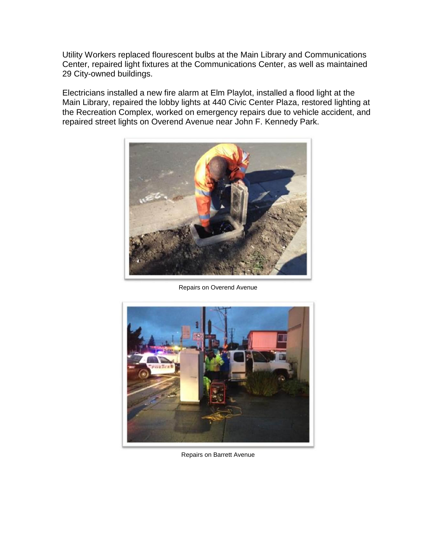Utility Workers replaced flourescent bulbs at the Main Library and Communications Center, repaired light fixtures at the Communications Center, as well as maintained 29 City-owned buildings.

Electricians installed a new fire alarm at Elm Playlot, installed a flood light at the Main Library, repaired the lobby lights at 440 Civic Center Plaza, restored lighting at the Recreation Complex, worked on emergency repairs due to vehicle accident, and repaired street lights on Overend Avenue near John F. Kennedy Park.



Repairs on Overend Avenue



Repairs on Barrett Avenue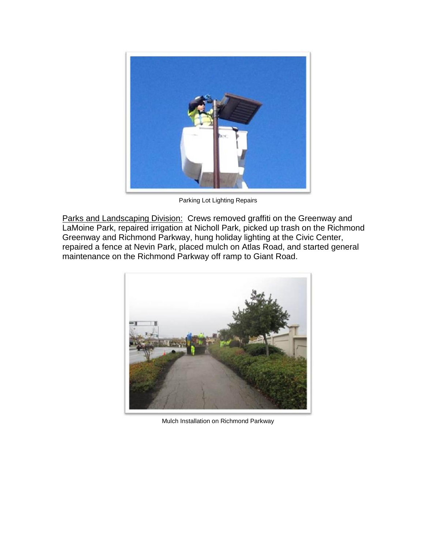

Parking Lot Lighting Repairs

Parks and Landscaping Division: Crews removed graffiti on the Greenway and LaMoine Park, repaired irrigation at Nicholl Park, picked up trash on the Richmond Greenway and Richmond Parkway, hung holiday lighting at the Civic Center, repaired a fence at Nevin Park, placed mulch on Atlas Road, and started general maintenance on the Richmond Parkway off ramp to Giant Road.



Mulch Installation on Richmond Parkway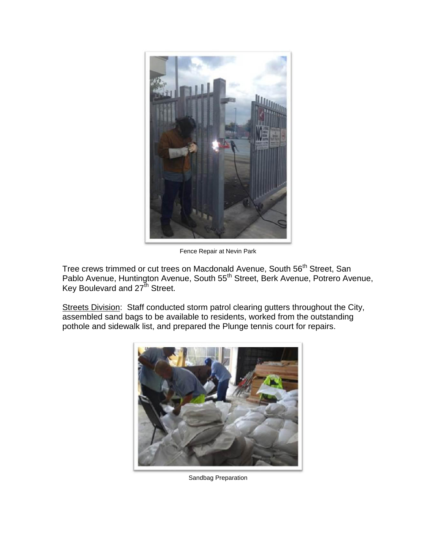

Fence Repair at Nevin Park

Tree crews trimmed or cut trees on Macdonald Avenue, South 56<sup>th</sup> Street, San Pablo Avenue, Huntington Avenue, South 55<sup>th</sup> Street, Berk Avenue, Potrero Avenue, Key Boulevard and 27<sup>th</sup> Street.

Streets Division: Staff conducted storm patrol clearing gutters throughout the City, assembled sand bags to be available to residents, worked from the outstanding pothole and sidewalk list, and prepared the Plunge tennis court for repairs.



Sandbag Preparation